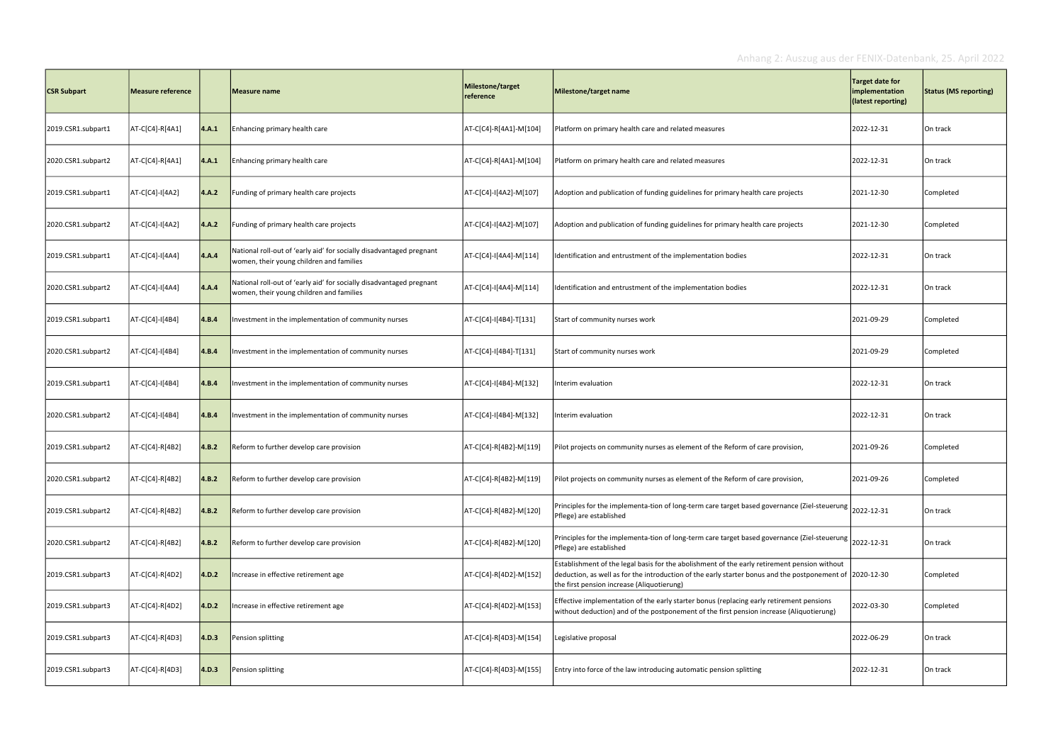| <b>CSR Subpart</b> | Measure reference |               | Measure name                                                                                                     | Milestone/target<br>reference | Milestone/target name                                                                                                                                                                                                                                  | Target date for<br>implementation<br>(latest reporting) | <b>Status (MS reporting)</b> |
|--------------------|-------------------|---------------|------------------------------------------------------------------------------------------------------------------|-------------------------------|--------------------------------------------------------------------------------------------------------------------------------------------------------------------------------------------------------------------------------------------------------|---------------------------------------------------------|------------------------------|
| 2019.CSR1.subpart1 | AT-C[C4]-R[4A1]   | 4.A.1         | Enhancing primary health care                                                                                    | AT-C[C4]-R[4A1]-M[104]        | Platform on primary health care and related measures                                                                                                                                                                                                   | 2022-12-31                                              | On track                     |
| 2020.CSR1.subpart2 | AT-C[C4]-R[4A1]   | 4.A.1         | Enhancing primary health care                                                                                    | AT-C[C4]-R[4A1]-M[104]        | Platform on primary health care and related measures                                                                                                                                                                                                   | 2022-12-31                                              | On track                     |
| 2019.CSR1.subpart1 | AT-C[C4]-I[4A2]   | 4.A.2         | Funding of primary health care projects                                                                          | AT-C[C4]-I[4A2]-M[107]        | Adoption and publication of funding guidelines for primary health care projects                                                                                                                                                                        | 2021-12-30                                              | Completed                    |
| 2020.CSR1.subpart2 | AT-C[C4]-I[4A2]   | 4.A.2         | Funding of primary health care projects                                                                          | AT-C[C4]-I[4A2]-M[107]        | Adoption and publication of funding guidelines for primary health care projects                                                                                                                                                                        | 2021-12-30                                              | Completed                    |
| 2019.CSR1.subpart1 | AT-C[C4]-I[4A4]   | $\vert$ 4.A.4 | National roll-out of 'early aid' for socially disadvantaged pregnant<br>women, their young children and families | AT-C[C4]-I[4A4]-M[114]        | Identification and entrustment of the implementation bodies                                                                                                                                                                                            | 2022-12-31                                              | On track                     |
| 2020.CSR1.subpart2 | AT-C[C4]-I[4A4]   | $\vert$ 4.A.4 | National roll-out of 'early aid' for socially disadvantaged pregnant<br>women, their young children and families | AT-C[C4]-I[4A4]-M[114]        | Identification and entrustment of the implementation bodies                                                                                                                                                                                            | 2022-12-31                                              | On track                     |
| 2019.CSR1.subpart1 | AT-C[C4]-I[4B4]   | 4.B.4         | Investment in the implementation of community nurses                                                             | AT-C[C4]-I[4B4]-T[131]        | Start of community nurses work                                                                                                                                                                                                                         | 2021-09-29                                              | Completed                    |
| 2020.CSR1.subpart2 | AT-C[C4]-I[4B4]   | 4.B.4         | Investment in the implementation of community nurses                                                             | AT-C[C4]-I[4B4]-T[131]        | Start of community nurses work                                                                                                                                                                                                                         | 2021-09-29                                              | Completed                    |
| 2019.CSR1.subpart1 | AT-C[C4]-I[4B4]   | 4.B.4         | Investment in the implementation of community nurses                                                             | AT-C[C4]-I[4B4]-M[132]        | Interim evaluation                                                                                                                                                                                                                                     | 2022-12-31                                              | On track                     |
| 2020.CSR1.subpart2 | AT-C[C4]-I[4B4]   | 4.B.4         | Investment in the implementation of community nurses                                                             | AT-C[C4]-I[4B4]-M[132]        | Interim evaluation                                                                                                                                                                                                                                     | 2022-12-31                                              | On track                     |
| 2019.CSR1.subpart2 | AT-C[C4]-R[4B2]   | 4.B.2         | Reform to further develop care provision                                                                         | AT-C[C4]-R[4B2]-M[119]        | Pilot projects on community nurses as element of the Reform of care provision,                                                                                                                                                                         | 2021-09-26                                              | Completed                    |
| 2020.CSR1.subpart2 | AT-C[C4]-R[4B2]   | 4.B.2         | Reform to further develop care provision                                                                         | AT-C[C4]-R[4B2]-M[119]        | Pilot projects on community nurses as element of the Reform of care provision,                                                                                                                                                                         | 2021-09-26                                              | Completed                    |
| 2019.CSR1.subpart2 | AT-C[C4]-R[4B2]   | $\vert$ 4.B.2 | Reform to further develop care provision                                                                         | AT-C[C4]-R[4B2]-M[120]        | Principles for the implementa-tion of long-term care target based governance (Ziel-steuerung<br>Pflege) are established                                                                                                                                | 2022-12-31                                              | On track                     |
| 2020.CSR1.subpart2 | AT-C[C4]-R[4B2]   | $\vert$ 4.B.2 | Reform to further develop care provision                                                                         | AT-C[C4]-R[4B2]-M[120]        | Principles for the implementa-tion of long-term care target based governance (Ziel-steuerung<br>Pflege) are established                                                                                                                                | 2022-12-31                                              | On track                     |
| 2019.CSR1.subpart3 | AT-C[C4]-R[4D2]   | 4.D.2         | Increase in effective retirement age                                                                             | AT-C[C4]-R[4D2]-M[152]        | Establishment of the legal basis for the abolishment of the early retirement pension without<br>deduction, as well as for the introduction of the early starter bonus and the postponement of 2020-12-30<br>the first pension increase (Aliquotierung) |                                                         | Completed                    |
| 2019.CSR1.subpart3 | AT-C[C4]-R[4D2]   | 4.D.2         | Increase in effective retirement age                                                                             | AT-C[C4]-R[4D2]-M[153]        | Effective implementation of the early starter bonus (replacing early retirement pensions<br>without deduction) and of the postponement of the first pension increase (Aliquotierung)                                                                   | 2022-03-30                                              | Completed                    |
| 2019.CSR1.subpart3 | AT-C[C4]-R[4D3]   | 4.D.3         | Pension splitting                                                                                                | AT-C[C4]-R[4D3]-M[154]        | Legislative proposal                                                                                                                                                                                                                                   | 2022-06-29                                              | On track                     |
| 2019.CSR1.subpart3 | AT-C[C4]-R[4D3]   | 4.D.3         | Pension splitting                                                                                                | AT-C[C4]-R[4D3]-M[155]        | Entry into force of the law introducing automatic pension splitting                                                                                                                                                                                    | 2022-12-31                                              | On track                     |

## Anhang 2: Auszug aus der FENIX-Datenbank, 25. April 2022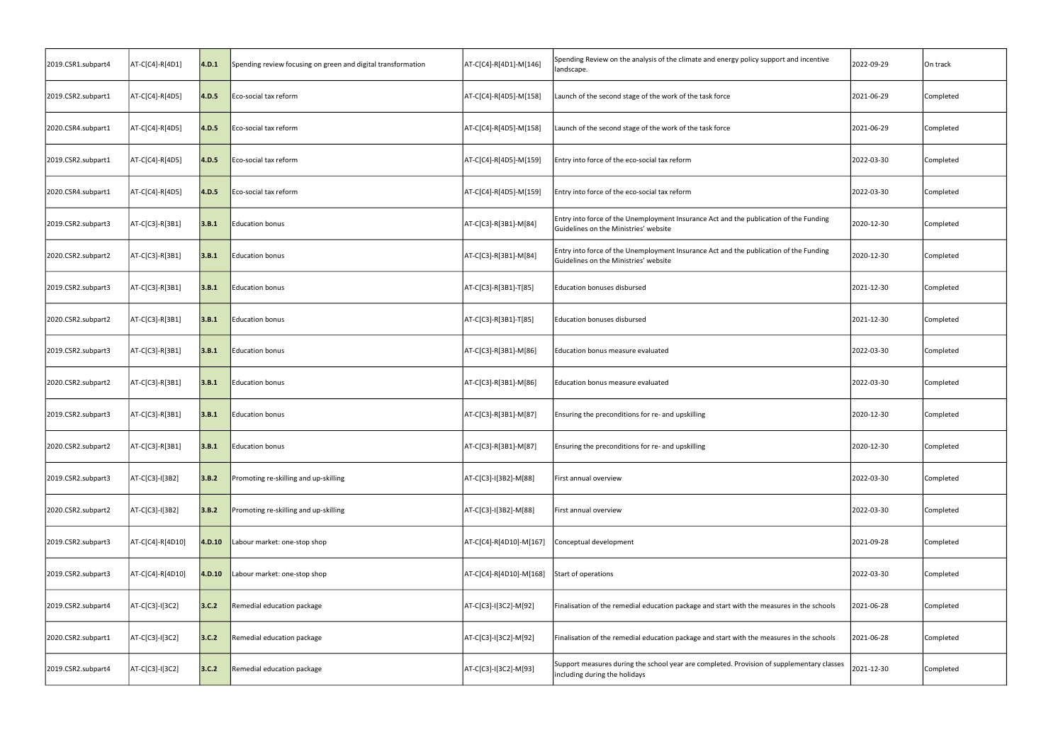| 2019.CSR1.subpart4 | AT-C[C4]-R[4D1]  | 4.D.1         | Spending review focusing on green and digital transformation | AT-C[C4]-R[4D1]-M[146]  | Spending Review on the analysis of the climate and energy policy support and incentive<br>landscape.                           | 2022-09-29 | On track  |
|--------------------|------------------|---------------|--------------------------------------------------------------|-------------------------|--------------------------------------------------------------------------------------------------------------------------------|------------|-----------|
| 2019.CSR2.subpart1 | AT-C[C4]-R[4D5]  | 4.D.5         | Eco-social tax reform                                        | AT-C[C4]-R[4D5]-M[158]  | Launch of the second stage of the work of the task force                                                                       | 2021-06-29 | Completed |
| 2020.CSR4.subpart1 | AT-C[C4]-R[4D5]  | $\vert$ 4.D.5 | Eco-social tax reform                                        | AT-C[C4]-R[4D5]-M[158]  | Launch of the second stage of the work of the task force                                                                       | 2021-06-29 | Completed |
| 2019.CSR2.subpart1 | AT-C[C4]-R[4D5]  | 4.D.5         | Eco-social tax reform                                        | AT-C[C4]-R[4D5]-M[159]  | Entry into force of the eco-social tax reform                                                                                  | 2022-03-30 | Completed |
| 2020.CSR4.subpart1 | AT-C[C4]-R[4D5]  | 4.D.5         | Eco-social tax reform                                        | AT-C[C4]-R[4D5]-M[159]  | Entry into force of the eco-social tax reform                                                                                  | 2022-03-30 | Completed |
| 2019.CSR2.subpart3 | AT-C[C3]-R[3B1]  | 3.B.1         | Education bonus                                              | AT-C[C3]-R[3B1]-M[84]   | Entry into force of the Unemployment Insurance Act and the publication of the Funding<br>Guidelines on the Ministries' website | 2020-12-30 | Completed |
| 2020.CSR2.subpart2 | AT-C[C3]-R[3B1]  | 3.B.1         | Education bonus                                              | AT-C[C3]-R[3B1]-M[84]   | Entry into force of the Unemployment Insurance Act and the publication of the Funding<br>Guidelines on the Ministries' website | 2020-12-30 | Completed |
| 2019.CSR2.subpart3 | AT-C[C3]-R[3B1]  | 3.B.1         | Education bonus                                              | AT-C[C3]-R[3B1]-T[85]   | <b>Education bonuses disbursed</b>                                                                                             | 2021-12-30 | Completed |
| 2020.CSR2.subpart2 | AT-C[C3]-R[3B1]  | 3.B.1         | Education bonus                                              | AT-C[C3]-R[3B1]-T[85]   | <b>Education bonuses disbursed</b>                                                                                             | 2021-12-30 | Completed |
| 2019.CSR2.subpart3 | AT-C[C3]-R[3B1]  | 3.B.1         | Education bonus                                              | AT-C[C3]-R[3B1]-M[86]   | Education bonus measure evaluated                                                                                              | 2022-03-30 | Completed |
| 2020.CSR2.subpart2 | AT-C[C3]-R[3B1]  | 3.B.1         | Education bonus                                              | AT-C[C3]-R[3B1]-M[86]   | Education bonus measure evaluated                                                                                              | 2022-03-30 | Completed |
| 2019.CSR2.subpart3 | AT-C[C3]-R[3B1]  | 3.B.1         | Education bonus                                              | AT-C[C3]-R[3B1]-M[87]   | Ensuring the preconditions for re- and upskilling                                                                              | 2020-12-30 | Completed |
| 2020.CSR2.subpart2 | AT-C[C3]-R[3B1]  | 3.B.1         | Education bonus                                              | AT-C[C3]-R[3B1]-M[87]   | Ensuring the preconditions for re- and upskilling                                                                              | 2020-12-30 | Completed |
| 2019.CSR2.subpart3 | AT-C[C3]-I[3B2]  | 3.B.2         | Promoting re-skilling and up-skilling                        | AT-C[C3]-I[3B2]-M[88]   | First annual overview                                                                                                          | 2022-03-30 | Completed |
| 2020.CSR2.subpart2 | AT-C[C3]-I[3B2]  | 3.B.2         | Promoting re-skilling and up-skilling                        | AT-C[C3]-I[3B2]-M[88]   | First annual overview                                                                                                          | 2022-03-30 | Completed |
| 2019.CSR2.subpart3 | AT-C[C4]-R[4D10] | 4.D.10        | Labour market: one-stop shop                                 | AT-C[C4]-R[4D10]-M[167] | Conceptual development                                                                                                         | 2021-09-28 | Completed |
| 2019.CSR2.subpart3 | AT-C[C4]-R[4D10] | 4.D.10        | Labour market: one-stop shop                                 | AT-C[C4]-R[4D10]-M[168] | Start of operations                                                                                                            | 2022-03-30 | Completed |
| 2019.CSR2.subpart4 | AT-C[C3]-I[3C2]  | 3.C.2         | Remedial education package                                   | AT-C[C3]-I[3C2]-M[92]   | Finalisation of the remedial education package and start with the measures in the schools                                      | 2021-06-28 | Completed |
| 2020.CSR2.subpart1 | AT-C[C3]-I[3C2]  | 3.C.2         | Remedial education package                                   | AT-C[C3]-I[3C2]-M[92]   | Finalisation of the remedial education package and start with the measures in the schools                                      | 2021-06-28 | Completed |
| 2019.CSR2.subpart4 | AT-C[C3]-I[3C2]  | 3.C.2         | Remedial education package                                   | AT-C[C3]-I[3C2]-M[93]   | Support measures during the school year are completed. Provision of supplementary classes<br>including during the holidays     | 2021-12-30 | Completed |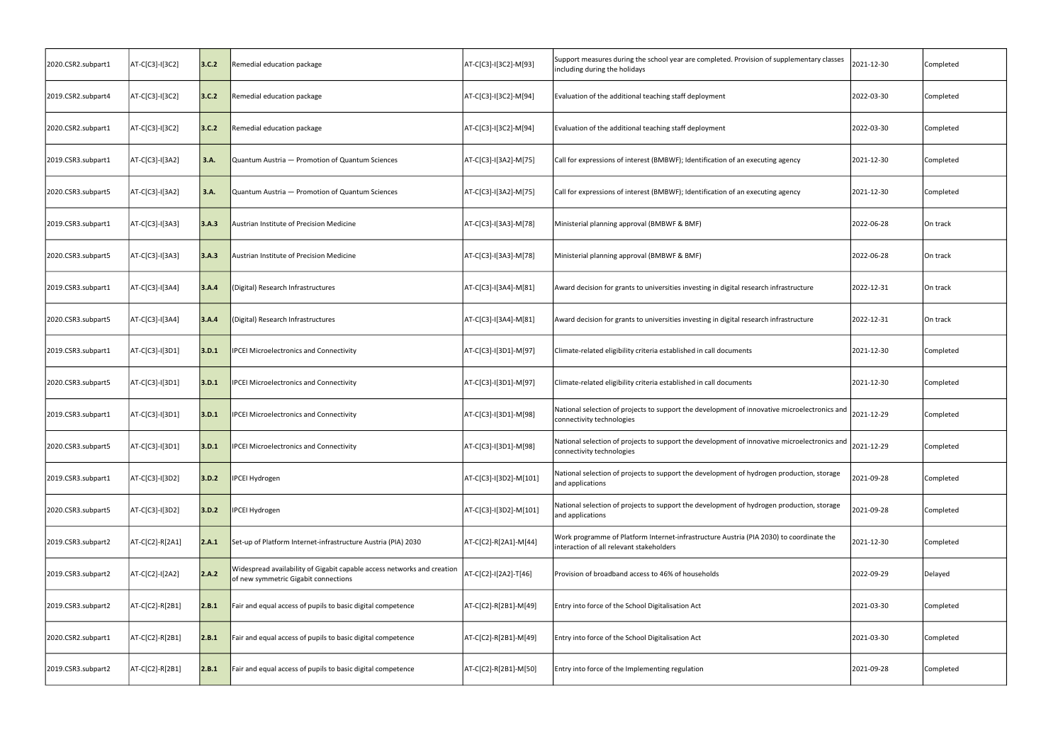| 2020.CSR2.subpart1 | AT-C[C3]-I[3C2] | 3.C.2 | Remedial education package                                                                                      | AT-C[C3]-I[3C2]-M[93]  | Support measures during the school year are completed. Provision of supplementary classes<br>including during the holidays          | 2021-12-30 | Completed |
|--------------------|-----------------|-------|-----------------------------------------------------------------------------------------------------------------|------------------------|-------------------------------------------------------------------------------------------------------------------------------------|------------|-----------|
| 2019.CSR2.subpart4 | AT-C[C3]-I[3C2] | 3.C.2 | Remedial education package                                                                                      | AT-C[C3]-I[3C2]-M[94]  | Evaluation of the additional teaching staff deployment                                                                              | 2022-03-30 | Completed |
| 2020.CSR2.subpart1 | AT-C[C3]-I[3C2] | 3.C.2 | Remedial education package                                                                                      | AT-C[C3]-I[3C2]-M[94]  | Evaluation of the additional teaching staff deployment                                                                              | 2022-03-30 | Completed |
| 2019.CSR3.subpart1 | AT-C[C3]-I[3A2] | 3.A.  | Quantum Austria - Promotion of Quantum Sciences                                                                 | AT-C[C3]-I[3A2]-M[75]  | Call for expressions of interest (BMBWF); Identification of an executing agency                                                     | 2021-12-30 | Completed |
| 2020.CSR3.subpart5 | AT-C[C3]-I[3A2] | 3.A.  | Quantum Austria - Promotion of Quantum Sciences                                                                 | AT-C[C3]-I[3A2]-M[75]  | Call for expressions of interest (BMBWF); Identification of an executing agency                                                     | 2021-12-30 | Completed |
| 2019.CSR3.subpart1 | AT-C[C3]-I[3A3] | 3.A.3 | Austrian Institute of Precision Medicine                                                                        | AT-C[C3]-I[3A3]-M[78]  | Ministerial planning approval (BMBWF & BMF)                                                                                         | 2022-06-28 | On track  |
| 2020.CSR3.subpart5 | AT-C[C3]-I[3A3] | 3.A.3 | Austrian Institute of Precision Medicine                                                                        | AT-C[C3]-I[3A3]-M[78]  | Ministerial planning approval (BMBWF & BMF)                                                                                         | 2022-06-28 | On track  |
| 2019.CSR3.subpart1 | AT-C[C3]-I[3A4] | 3.A.4 | (Digital) Research Infrastructures                                                                              | AT-C[C3]-I[3A4]-M[81]  | Award decision for grants to universities investing in digital research infrastructure                                              | 2022-12-31 | On track  |
| 2020.CSR3.subpart5 | AT-C[C3]-I[3A4] | 3.A.4 | (Digital) Research Infrastructures                                                                              | AT-C[C3]-I[3A4]-M[81]  | Award decision for grants to universities investing in digital research infrastructure                                              | 2022-12-31 | On track  |
| 2019.CSR3.subpart1 | AT-C[C3]-I[3D1] | 3.D.1 | <b>IPCEI Microelectronics and Connectivity</b>                                                                  | AT-C[C3]-I[3D1]-M[97]  | Climate-related eligibility criteria established in call documents                                                                  | 2021-12-30 | Completed |
| 2020.CSR3.subpart5 | AT-C[C3]-I[3D1] | 3.D.1 | <b>IPCEI Microelectronics and Connectivity</b>                                                                  | AT-C[C3]-I[3D1]-M[97]  | Climate-related eligibility criteria established in call documents                                                                  | 2021-12-30 | Completed |
| 2019.CSR3.subpart1 | AT-C[C3]-I[3D1] | 3.D.1 | <b>IPCEI Microelectronics and Connectivity</b>                                                                  | AT-C[C3]-I[3D1]-M[98]  | National selection of projects to support the development of innovative microelectronics and<br>connectivity technologies           | 2021-12-29 | Completed |
| 2020.CSR3.subpart5 | AT-C[C3]-I[3D1] | 3.D.1 | <b>IPCEI Microelectronics and Connectivity</b>                                                                  | AT-C[C3]-I[3D1]-M[98]  | National selection of projects to support the development of innovative microelectronics and<br>connectivity technologies           | 2021-12-29 | Completed |
| 2019.CSR3.subpart1 | AT-C[C3]-I[3D2] | 3.D.2 | <b>IPCEI Hydrogen</b>                                                                                           | AT-C[C3]-I[3D2]-M[101] | National selection of projects to support the development of hydrogen production, storage<br>and applications                       | 2021-09-28 | Completed |
| 2020.CSR3.subpart5 | AT-C[C3]-I[3D2] | 3.D.2 | <b>IPCEI Hydrogen</b>                                                                                           | AT-C[C3]-I[3D2]-M[101] | National selection of projects to support the development of hydrogen production, storage<br>and applications                       | 2021-09-28 | Completed |
| 2019.CSR3.subpart2 | AT-C[C2]-R[2A1] | 2.A.1 | Set-up of Platform Internet-infrastructure Austria (PIA) 2030                                                   | AT-C[C2]-R[2A1]-M[44]  | Work programme of Platform Internet-infrastructure Austria (PIA 2030) to coordinate the<br>interaction of all relevant stakeholders | 2021-12-30 | Completed |
| 2019.CSR3.subpart2 | AT-C[C2]-I[2A2] | 2.A.2 | Widespread availability of Gigabit capable access networks and creation<br>of new symmetric Gigabit connections | AT-C[C2]-I[2A2]-T[46]  | Provision of broadband access to 46% of households                                                                                  | 2022-09-29 | Delayed   |
| 2019.CSR3.subpart2 | AT-C[C2]-R[2B1] | 2.B.1 | Fair and equal access of pupils to basic digital competence                                                     | AT-C[C2]-R[2B1]-M[49]  | Entry into force of the School Digitalisation Act                                                                                   | 2021-03-30 | Completed |
| 2020.CSR2.subpart1 | AT-C[C2]-R[2B1] | 2.B.1 | Fair and equal access of pupils to basic digital competence                                                     | AT-C[C2]-R[2B1]-M[49]  | Entry into force of the School Digitalisation Act                                                                                   | 2021-03-30 | Completed |
| 2019.CSR3.subpart2 | AT-C[C2]-R[2B1] | 2.B.1 | Fair and equal access of pupils to basic digital competence                                                     | AT-C[C2]-R[2B1]-M[50]  | Entry into force of the Implementing regulation                                                                                     | 2021-09-28 | Completed |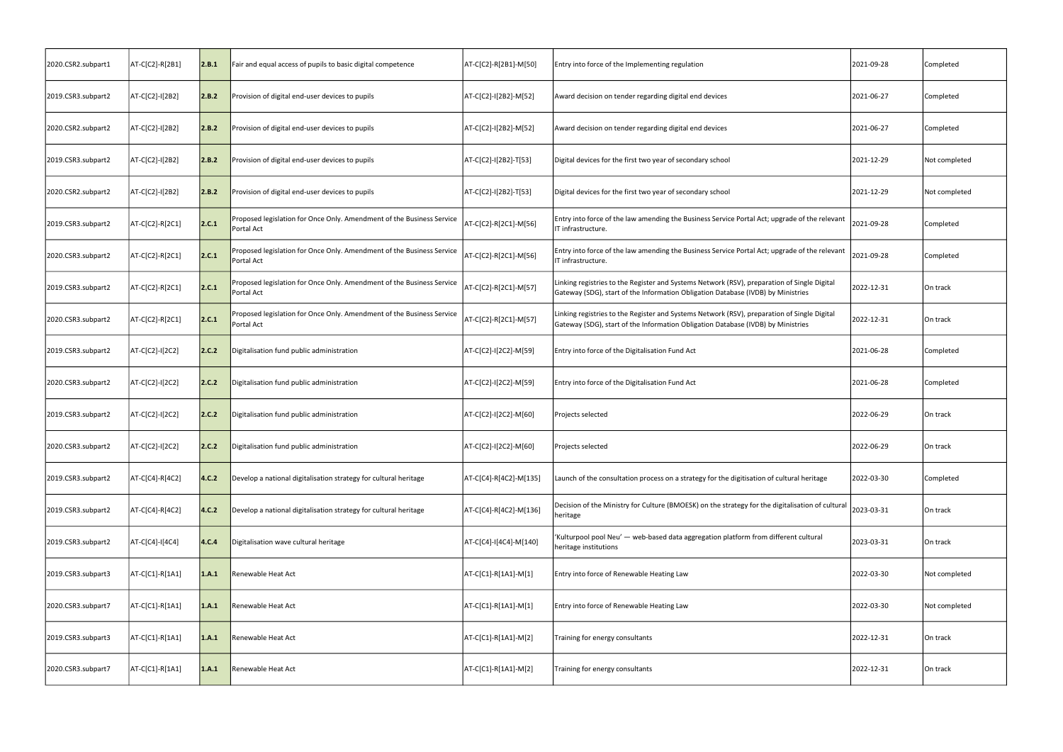| 2020.CSR2.subpart1 | AT-C[C2]-R[2B1] | 2.B.1 | Fair and equal access of pupils to basic digital competence                         | AT-C[C2]-R[2B1]-M[50]  | Entry into force of the Implementing regulation                                                                                                                                 | 2021-09-28 | Completed     |
|--------------------|-----------------|-------|-------------------------------------------------------------------------------------|------------------------|---------------------------------------------------------------------------------------------------------------------------------------------------------------------------------|------------|---------------|
| 2019.CSR3.subpart2 | AT-C[C2]-I[2B2] | 2.B.2 | Provision of digital end-user devices to pupils                                     | AT-C[C2]-I[2B2]-M[52]  | Award decision on tender regarding digital end devices                                                                                                                          | 2021-06-27 | Completed     |
| 2020.CSR2.subpart2 | AT-C[C2]-I[2B2] | 2.B.2 | Provision of digital end-user devices to pupils                                     | AT-C[C2]-I[2B2]-M[52]  | Award decision on tender regarding digital end devices                                                                                                                          | 2021-06-27 | Completed     |
| 2019.CSR3.subpart2 | AT-C[C2]-I[2B2] | 2.B.2 | Provision of digital end-user devices to pupils                                     | AT-C[C2]-I[2B2]-T[53]  | Digital devices for the first two year of secondary school                                                                                                                      | 2021-12-29 | Not completed |
| 2020.CSR2.subpart2 | AT-C[C2]-I[2B2] | 2.B.2 | Provision of digital end-user devices to pupils                                     | AT-C[C2]-I[2B2]-T[53]  | Digital devices for the first two year of secondary school                                                                                                                      | 2021-12-29 | Not completed |
| 2019.CSR3.subpart2 | AT-C[C2]-R[2C1] | 2.C.1 | Proposed legislation for Once Only. Amendment of the Business Service<br>Portal Act | AT-C[C2]-R[2C1]-M[56]  | Entry into force of the law amending the Business Service Portal Act; upgrade of the relevant<br>IT infrastructure.                                                             | 2021-09-28 | Completed     |
| 2020.CSR3.subpart2 | AT-C[C2]-R[2C1] | 2.C.1 | Proposed legislation for Once Only. Amendment of the Business Service<br>Portal Act | AT-C[C2]-R[2C1]-M[56]  | Entry into force of the law amending the Business Service Portal Act; upgrade of the relevant<br>IT infrastructure.                                                             | 2021-09-28 | Completed     |
| 2019.CSR3.subpart2 | AT-C[C2]-R[2C1] | 2.C.1 | Proposed legislation for Once Only. Amendment of the Business Service<br>Portal Act | AT-C[C2]-R[2C1]-M[57]  | Linking registries to the Register and Systems Network (RSV), preparation of Single Digital<br>Gateway (SDG), start of the Information Obligation Database (IVDB) by Ministries | 2022-12-31 | On track      |
| 2020.CSR3.subpart2 | AT-C[C2]-R[2C1] | 2.C.1 | Proposed legislation for Once Only. Amendment of the Business Service<br>Portal Act | AT-C[C2]-R[2C1]-M[57]  | Linking registries to the Register and Systems Network (RSV), preparation of Single Digital<br>Gateway (SDG), start of the Information Obligation Database (IVDB) by Ministries | 2022-12-31 | On track      |
| 2019.CSR3.subpart2 | AT-C[C2]-I[2C2] | 2.C.2 | Digitalisation fund public administration                                           | AT-C[C2]-I[2C2]-M[59]  | Entry into force of the Digitalisation Fund Act                                                                                                                                 | 2021-06-28 | Completed     |
| 2020.CSR3.subpart2 | AT-C[C2]-I[2C2] | 2.C.2 | Digitalisation fund public administration                                           | AT-C[C2]-I[2C2]-M[59]  | Entry into force of the Digitalisation Fund Act                                                                                                                                 | 2021-06-28 | Completed     |
| 2019.CSR3.subpart2 | AT-C[C2]-I[2C2] | 2.C.2 | Digitalisation fund public administration                                           | AT-C[C2]-I[2C2]-M[60]  | Projects selected                                                                                                                                                               | 2022-06-29 | On track      |
| 2020.CSR3.subpart2 | AT-C[C2]-I[2C2] | 2.C.2 | Digitalisation fund public administration                                           | AT-C[C2]-I[2C2]-M[60]  | Projects selected                                                                                                                                                               | 2022-06-29 | On track      |
| 2019.CSR3.subpart2 | AT-C[C4]-R[4C2] | 4.C.2 | Develop a national digitalisation strategy for cultural heritage                    | AT-C[C4]-R[4C2]-M[135] | Launch of the consultation process on a strategy for the digitisation of cultural heritage                                                                                      | 2022-03-30 | Completed     |
| 2019.CSR3.subpart2 | AT-C[C4]-R[4C2] | 4.C.2 | Develop a national digitalisation strategy for cultural heritage                    | AT-C[C4]-R[4C2]-M[136] | Decision of the Ministry for Culture (BMOESK) on the strategy for the digitalisation of cultural<br>heritage                                                                    | 2023-03-31 | On track      |
| 2019.CSR3.subpart2 | AT-C[C4]-I[4C4] | 4.C.4 | Digitalisation wave cultural heritage                                               | AT-C[C4]-I[4C4]-M[140] | 'Kulturpool pool Neu' - web-based data aggregation platform from different cultural<br>heritage institutions                                                                    | 2023-03-31 | On track      |
| 2019.CSR3.subpart3 | AT-C[C1]-R[1A1] | 1.A.1 | Renewable Heat Act                                                                  | AT-C[C1]-R[1A1]-M[1]   | Entry into force of Renewable Heating Law                                                                                                                                       | 2022-03-30 | Not completed |
| 2020.CSR3.subpart7 | AT-C[C1]-R[1A1] | 1.A.1 | Renewable Heat Act                                                                  | AT-C[C1]-R[1A1]-M[1]   | Entry into force of Renewable Heating Law                                                                                                                                       | 2022-03-30 | Not completed |
| 2019.CSR3.subpart3 | AT-C[C1]-R[1A1] | 1.A.1 | Renewable Heat Act                                                                  | AT-C[C1]-R[1A1]-M[2]   | Training for energy consultants                                                                                                                                                 | 2022-12-31 | On track      |
| 2020.CSR3.subpart7 | AT-C[C1]-R[1A1] | 1.A.1 | Renewable Heat Act                                                                  | AT-C[C1]-R[1A1]-M[2]   | Training for energy consultants                                                                                                                                                 | 2022-12-31 | On track      |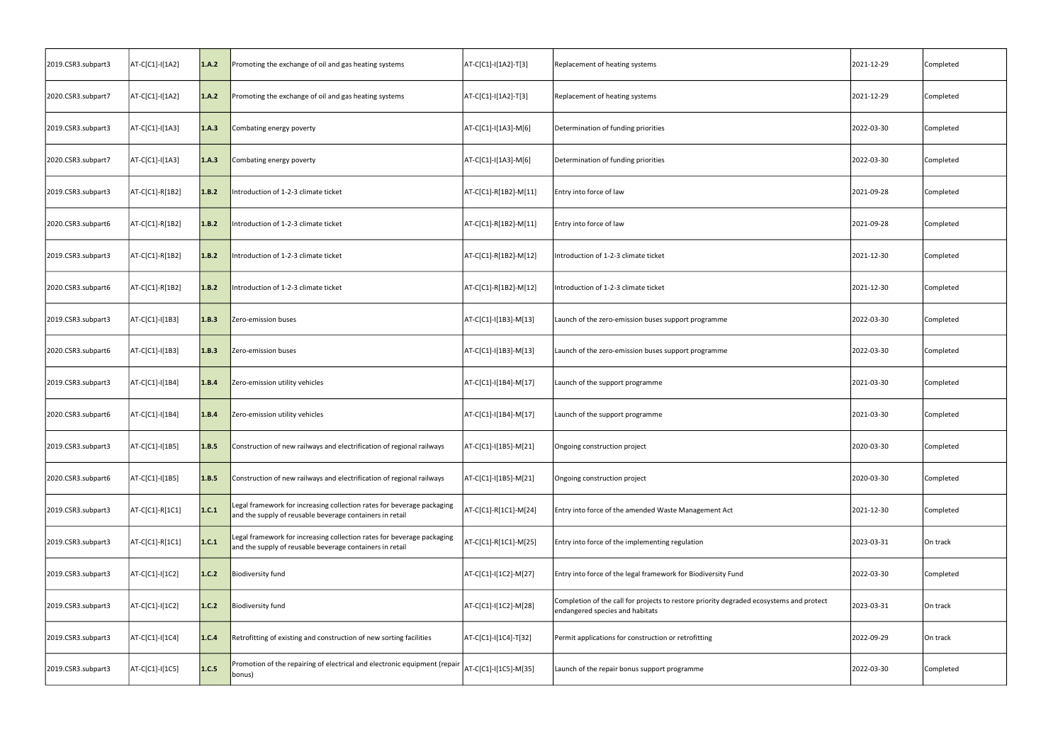| 2019.CSR3.subpart3 | AT-C[C1]-I[1A2] | 1.A.2 | Promoting the exchange of oil and gas heating systems                                                                              | AT-C[C1]-I[1A2]-T[3]  | Replacement of heating systems                                                                                             | 2021-12-29 | Completed |
|--------------------|-----------------|-------|------------------------------------------------------------------------------------------------------------------------------------|-----------------------|----------------------------------------------------------------------------------------------------------------------------|------------|-----------|
| 2020.CSR3.subpart7 | AT-C[C1]-I[1A2] | 1.A.2 | Promoting the exchange of oil and gas heating systems                                                                              | AT-C[C1]-I[1A2]-T[3]  | Replacement of heating systems                                                                                             | 2021-12-29 | Completed |
| 2019.CSR3.subpart3 | AT-C[C1]-I[1A3] | 1.A.3 | Combating energy poverty                                                                                                           | AT-C[C1]-I[1A3]-M[6]  | Determination of funding priorities                                                                                        | 2022-03-30 | Completed |
| 2020.CSR3.subpart7 | AT-C[C1]-I[1A3] | 1.A.3 | Combating energy poverty                                                                                                           | AT-C[C1]-I[1A3]-M[6]  | Determination of funding priorities                                                                                        | 2022-03-30 | Completed |
| 2019.CSR3.subpart3 | AT-C[C1]-R[1B2] | 1.B.2 | Introduction of 1-2-3 climate ticket                                                                                               | AT-C[C1]-R[1B2]-M[11] | Entry into force of law                                                                                                    | 2021-09-28 | Completed |
| 2020.CSR3.subpart6 | AT-C[C1]-R[1B2] | 1.B.2 | Introduction of 1-2-3 climate ticket                                                                                               | AT-C[C1]-R[1B2]-M[11] | Entry into force of law                                                                                                    | 2021-09-28 | Completed |
| 2019.CSR3.subpart3 | AT-C[C1]-R[1B2] | 1.B.2 | Introduction of 1-2-3 climate ticket                                                                                               | AT-C[C1]-R[1B2]-M[12] | Introduction of 1-2-3 climate ticket                                                                                       | 2021-12-30 | Completed |
| 2020.CSR3.subpart6 | AT-C[C1]-R[1B2] | 1.B.2 | Introduction of 1-2-3 climate ticket                                                                                               | AT-C[C1]-R[1B2]-M[12] | Introduction of 1-2-3 climate ticket                                                                                       | 2021-12-30 | Completed |
| 2019.CSR3.subpart3 | AT-C[C1]-I[1B3] | 1.B.3 | Zero-emission buses                                                                                                                | AT-C[C1]-I[1B3]-M[13] | Launch of the zero-emission buses support programme                                                                        | 2022-03-30 | Completed |
| 2020.CSR3.subpart6 | AT-C[C1]-I[1B3] | 1.B.3 | Zero-emission buses                                                                                                                | AT-C[C1]-I[1B3]-M[13] | Launch of the zero-emission buses support programme                                                                        | 2022-03-30 | Completed |
| 2019.CSR3.subpart3 | AT-C[C1]-I[1B4] | 1.B.4 | Zero-emission utility vehicles                                                                                                     | AT-C[C1]-I[1B4]-M[17] | Launch of the support programme                                                                                            | 2021-03-30 | Completed |
| 2020.CSR3.subpart6 | AT-C[C1]-I[1B4] | 1.B.4 | Zero-emission utility vehicles                                                                                                     | AT-C[C1]-I[1B4]-M[17] | Launch of the support programme                                                                                            | 2021-03-30 | Completed |
| 2019.CSR3.subpart3 | AT-C[C1]-I[1B5] | 1.B.5 | Construction of new railways and electrification of regional railways                                                              | AT-C[C1]-I[1B5]-M[21] | Ongoing construction project                                                                                               | 2020-03-30 | Completed |
| 2020.CSR3.subpart6 | AT-C[C1]-I[1B5] | 1.B.5 | Construction of new railways and electrification of regional railways                                                              | AT-C[C1]-I[1B5]-M[21] | Ongoing construction project                                                                                               | 2020-03-30 | Completed |
| 2019.CSR3.subpart3 | AT-C[C1]-R[1C1] | 1.C.1 | Legal framework for increasing collection rates for beverage packaging<br>and the supply of reusable beverage containers in retail | AT-C[C1]-R[1C1]-M[24] | Entry into force of the amended Waste Management Act                                                                       | 2021-12-30 | Completed |
| 2019.CSR3.subpart3 | AT-C[C1]-R[1C1] | 1.C.1 | Legal framework for increasing collection rates for beverage packaging<br>and the supply of reusable beverage containers in retail | AT-C[C1]-R[1C1]-M[25] | Entry into force of the implementing regulation                                                                            | 2023-03-31 | On track  |
| 2019.CSR3.subpart3 | AT-C[C1]-I[1C2] | 1.C.2 | <b>Biodiversity fund</b>                                                                                                           | AT-C[C1]-I[1C2]-M[27] | Entry into force of the legal framework for Biodiversity Fund                                                              | 2022-03-30 | Completed |
| 2019.CSR3.subpart3 | AT-C[C1]-I[1C2] | 1.C.2 | <b>Biodiversity fund</b>                                                                                                           | AT-C[C1]-I[1C2]-M[28] | Completion of the call for projects to restore priority degraded ecosystems and protect<br>endangered species and habitats | 2023-03-31 | On track  |
| 2019.CSR3.subpart3 | AT-C[C1]-I[1C4] | 1.C.4 | Retrofitting of existing and construction of new sorting facilities                                                                | AT-C[C1]-I[1C4]-T[32] | Permit applications for construction or retrofitting                                                                       | 2022-09-29 | On track  |
| 2019.CSR3.subpart3 | AT-C[C1]-I[1C5] | 1.C.5 | Promotion of the repairing of electrical and electronic equipment (repair<br>bonus)                                                | AT-C[C1]-I[1C5]-M[35] | Launch of the repair bonus support programme                                                                               | 2022-03-30 | Completed |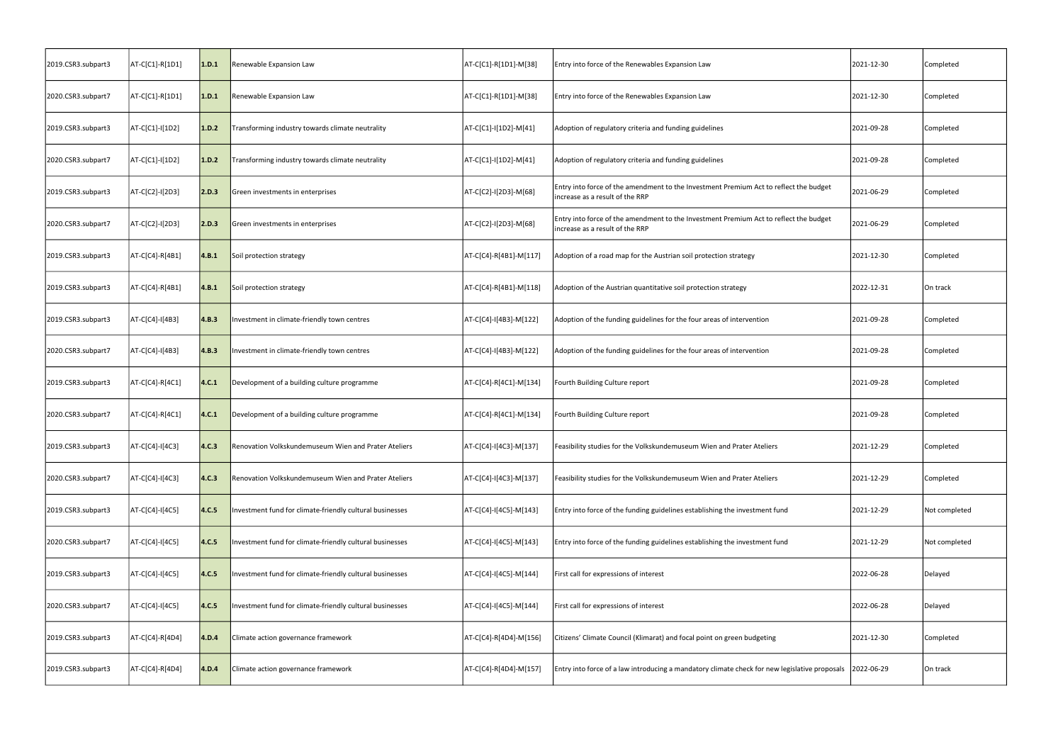| 2019.CSR3.subpart3 | AT-C[C1]-R[1D1] | 1.D.1 | Renewable Expansion Law                                  | AT-C[C1]-R[1D1]-M[38]  | Entry into force of the Renewables Expansion Law                                                                         | 2021-12-30 | Completed     |
|--------------------|-----------------|-------|----------------------------------------------------------|------------------------|--------------------------------------------------------------------------------------------------------------------------|------------|---------------|
| 2020.CSR3.subpart7 | AT-C[C1]-R[1D1] | 1.D.1 | Renewable Expansion Law                                  | AT-C[C1]-R[1D1]-M[38]  | Entry into force of the Renewables Expansion Law                                                                         | 2021-12-30 | Completed     |
| 2019.CSR3.subpart3 | AT-C[C1]-I[1D2] | 1.D.2 | Transforming industry towards climate neutrality         | AT-C[C1]-I[1D2]-M[41]  | Adoption of regulatory criteria and funding guidelines                                                                   | 2021-09-28 | Completed     |
| 2020.CSR3.subpart7 | AT-C[C1]-I[1D2] | 1.D.2 | Transforming industry towards climate neutrality         | AT-C[C1]-I[1D2]-M[41]  | Adoption of regulatory criteria and funding guidelines                                                                   | 2021-09-28 | Completed     |
| 2019.CSR3.subpart3 | AT-C[C2]-I[2D3] | 2.D.3 | Green investments in enterprises                         | AT-C[C2]-I[2D3]-M[68]  | Entry into force of the amendment to the Investment Premium Act to reflect the budget<br>increase as a result of the RRP | 2021-06-29 | Completed     |
| 2020.CSR3.subpart7 | AT-C[C2]-I[2D3] | 2.D.3 | Green investments in enterprises                         | AT-C[C2]-I[2D3]-M[68]  | Entry into force of the amendment to the Investment Premium Act to reflect the budget<br>increase as a result of the RRP | 2021-06-29 | Completed     |
| 2019.CSR3.subpart3 | AT-C[C4]-R[4B1] | 4.B.1 | Soil protection strategy                                 | AT-C[C4]-R[4B1]-M[117] | Adoption of a road map for the Austrian soil protection strategy                                                         | 2021-12-30 | Completed     |
| 2019.CSR3.subpart3 | AT-C[C4]-R[4B1] | 4.B.1 | Soil protection strategy                                 | AT-C[C4]-R[4B1]-M[118] | Adoption of the Austrian quantitative soil protection strategy                                                           | 2022-12-31 | On track      |
| 2019.CSR3.subpart3 | AT-C[C4]-I[4B3] | 4.B.3 | Investment in climate-friendly town centres              | AT-C[C4]-I[4B3]-M[122] | Adoption of the funding guidelines for the four areas of intervention                                                    | 2021-09-28 | Completed     |
| 2020.CSR3.subpart7 | AT-C[C4]-I[4B3] | 4.B.3 | Investment in climate-friendly town centres              | AT-C[C4]-I[4B3]-M[122] | Adoption of the funding guidelines for the four areas of intervention                                                    | 2021-09-28 | Completed     |
| 2019.CSR3.subpart3 | AT-C[C4]-R[4C1] | 4.C.1 | Development of a building culture programme              | AT-C[C4]-R[4C1]-M[134] | Fourth Building Culture report                                                                                           | 2021-09-28 | Completed     |
| 2020.CSR3.subpart7 | AT-C[C4]-R[4C1] | 4.C.1 | Development of a building culture programme              | AT-C[C4]-R[4C1]-M[134] | Fourth Building Culture report                                                                                           | 2021-09-28 | Completed     |
| 2019.CSR3.subpart3 | AT-C[C4]-I[4C3] | 4.C.3 | Renovation Volkskundemuseum Wien and Prater Ateliers     | AT-C[C4]-I[4C3]-M[137] | Feasibility studies for the Volkskundemuseum Wien and Prater Ateliers                                                    | 2021-12-29 | Completed     |
| 2020.CSR3.subpart7 | AT-C[C4]-I[4C3] | 4.C.3 | Renovation Volkskundemuseum Wien and Prater Ateliers     | AT-C[C4]-I[4C3]-M[137] | Feasibility studies for the Volkskundemuseum Wien and Prater Ateliers                                                    | 2021-12-29 | Completed     |
| 2019.CSR3.subpart3 | AT-C[C4]-I[4C5] | 4.C.5 | Investment fund for climate-friendly cultural businesses | AT-C[C4]-I[4C5]-M[143] | Entry into force of the funding guidelines establishing the investment fund                                              | 2021-12-29 | Not completed |
| 2020.CSR3.subpart7 | AT-C[C4]-I[4C5] | 4.C.5 | Investment fund for climate-friendly cultural businesses | AT-C[C4]-I[4C5]-M[143] | Entry into force of the funding guidelines establishing the investment fund                                              | 2021-12-29 | Not completed |
| 2019.CSR3.subpart3 | AT-C[C4]-I[4C5] | 4.C.5 | Investment fund for climate-friendly cultural businesses | AT-C[C4]-I[4C5]-M[144] | First call for expressions of interest                                                                                   | 2022-06-28 | Delayed       |
| 2020.CSR3.subpart7 | AT-C[C4]-I[4C5] | 4.C.5 | Investment fund for climate-friendly cultural businesses | AT-C[C4]-I[4C5]-M[144] | First call for expressions of interest                                                                                   | 2022-06-28 | Delayed       |
| 2019.CSR3.subpart3 | AT-C[C4]-R[4D4] | 4.D.4 | Climate action governance framework                      | AT-C[C4]-R[4D4]-M[156] | Citizens' Climate Council (Klimarat) and focal point on green budgeting                                                  | 2021-12-30 | Completed     |
| 2019.CSR3.subpart3 | AT-C[C4]-R[4D4] | 4.D.4 | Climate action governance framework                      | AT-C[C4]-R[4D4]-M[157] | Entry into force of a law introducing a mandatory climate check for new legislative proposals 2022-06-29                 |            | On track      |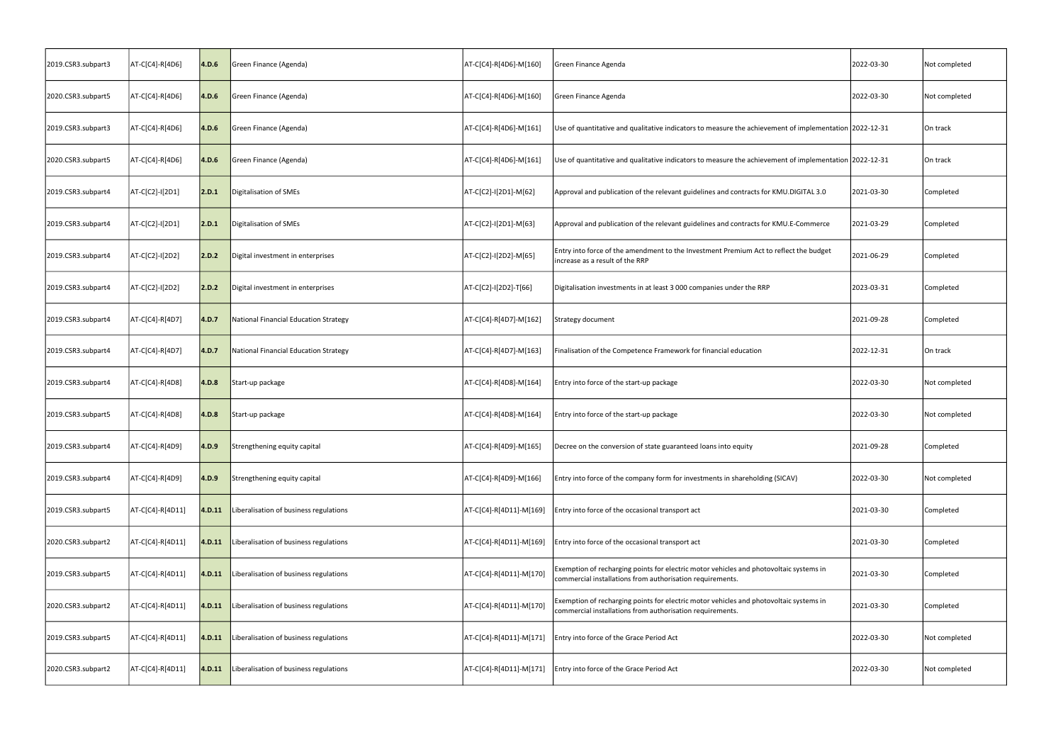| 2019.CSR3.subpart3 | AT-C[C4]-R[4D6]  | 4.D.6   | Green Finance (Agenda)                 | AT-C[C4]-R[4D6]-M[160]  | Green Finance Agenda                                                                                                                                | 2022-03-30 | Not completed |
|--------------------|------------------|---------|----------------------------------------|-------------------------|-----------------------------------------------------------------------------------------------------------------------------------------------------|------------|---------------|
| 2020.CSR3.subpart5 | AT-C[C4]-R[4D6]  | 4.D.6   | Green Finance (Agenda)                 | AT-C[C4]-R[4D6]-M[160]  | Green Finance Agenda                                                                                                                                | 2022-03-30 | Not completed |
| 2019.CSR3.subpart3 | AT-C[C4]-R[4D6]  | 4.D.6   | Green Finance (Agenda)                 | AT-C[C4]-R[4D6]-M[161]  | Use of quantitative and qualitative indicators to measure the achievement of implementation 2022-12-31                                              |            | On track      |
| 2020.CSR3.subpart5 | AT-C[C4]-R[4D6]  | 4.D.6   | Green Finance (Agenda)                 | AT-C[C4]-R[4D6]-M[161]  | Use of quantitative and qualitative indicators to measure the achievement of implementation 2022-12-31                                              |            | On track      |
| 2019.CSR3.subpart4 | AT-C[C2]-I[2D1]  | 2.D.1   | Digitalisation of SMEs                 | AT-C[C2]-I[2D1]-M[62]   | Approval and publication of the relevant guidelines and contracts for KMU.DIGITAL 3.0                                                               | 2021-03-30 | Completed     |
| 2019.CSR3.subpart4 | AT-C[C2]-I[2D1]  | 2.D.1   | Digitalisation of SMEs                 | AT-C[C2]-I[2D1]-M[63]   | Approval and publication of the relevant guidelines and contracts for KMU.E-Commerce                                                                | 2021-03-29 | Completed     |
| 2019.CSR3.subpart4 | AT-C[C2]-I[2D2]  | 2.D.2   | Digital investment in enterprises      | AT-C[C2]-I[2D2]-M[65]   | Entry into force of the amendment to the Investment Premium Act to reflect the budget<br>increase as a result of the RRP                            | 2021-06-29 | Completed     |
| 2019.CSR3.subpart4 | AT-C[C2]-I[2D2]  | 2.D.2   | Digital investment in enterprises      | AT-C[C2]-I[2D2]-T[66]   | Digitalisation investments in at least 3 000 companies under the RRP                                                                                | 2023-03-31 | Completed     |
| 2019.CSR3.subpart4 | AT-C[C4]-R[4D7]  | 4.D.7   | National Financial Education Strategy  | AT-C[C4]-R[4D7]-M[162]  | Strategy document                                                                                                                                   | 2021-09-28 | Completed     |
| 2019.CSR3.subpart4 | AT-C[C4]-R[4D7]  | 4.D.7   | National Financial Education Strategy  | AT-C[C4]-R[4D7]-M[163]  | Finalisation of the Competence Framework for financial education                                                                                    | 2022-12-31 | On track      |
| 2019.CSR3.subpart4 | AT-C[C4]-R[4D8]  | 4.D.8   | Start-up package                       | AT-C[C4]-R[4D8]-M[164]  | Entry into force of the start-up package                                                                                                            | 2022-03-30 | Not completed |
| 2019.CSR3.subpart5 | AT-C[C4]-R[4D8]  | 4.D.8   | Start-up package                       | AT-C[C4]-R[4D8]-M[164]  | Entry into force of the start-up package                                                                                                            | 2022-03-30 | Not completed |
| 2019.CSR3.subpart4 | AT-C[C4]-R[4D9]  | 4.D.9   | Strengthening equity capital           | AT-C[C4]-R[4D9]-M[165]  | Decree on the conversion of state guaranteed loans into equity                                                                                      | 2021-09-28 | Completed     |
| 2019.CSR3.subpart4 | AT-C[C4]-R[4D9]  | 4.D.9   | Strengthening equity capital           | AT-C[C4]-R[4D9]-M[166]  | Entry into force of the company form for investments in shareholding (SICAV)                                                                        | 2022-03-30 | Not completed |
| 2019.CSR3.subpart5 | AT-C[C4]-R[4D11] | 4. D.11 | Liberalisation of business regulations | AT-C[C4]-R[4D11]-M[169] | Entry into force of the occasional transport act                                                                                                    | 2021-03-30 | Completed     |
| 2020.CSR3.subpart2 | AT-C[C4]-R[4D11] | 4.D.11  | Liberalisation of business regulations | AT-C[C4]-R[4D11]-M[169] | Entry into force of the occasional transport act                                                                                                    | 2021-03-30 | Completed     |
| 2019.CSR3.subpart5 | AT-C[C4]-R[4D11] | 4. D.11 | Liberalisation of business regulations | AT-C[C4]-R[4D11]-M[170] | Exemption of recharging points for electric motor vehicles and photovoltaic systems in<br>commercial installations from authorisation requirements. | 2021-03-30 | Completed     |
| 2020.CSR3.subpart2 | AT-C[C4]-R[4D11] | 4. D.11 | Liberalisation of business regulations | AT-C[C4]-R[4D11]-M[170] | Exemption of recharging points for electric motor vehicles and photovoltaic systems in<br>commercial installations from authorisation requirements. | 2021-03-30 | Completed     |
| 2019.CSR3.subpart5 | AT-C[C4]-R[4D11] | 4. D.11 | Liberalisation of business regulations | AT-C[C4]-R[4D11]-M[171] | Entry into force of the Grace Period Act                                                                                                            | 2022-03-30 | Not completed |
| 2020.CSR3.subpart2 | AT-C[C4]-R[4D11] | 4. D.11 | Liberalisation of business regulations | AT-C[C4]-R[4D11]-M[171] | Entry into force of the Grace Period Act                                                                                                            | 2022-03-30 | Not completed |